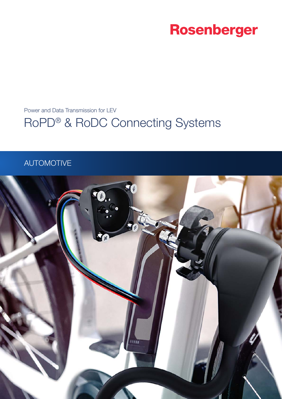# Rosenberger

Power and Data Transmission for LEV

# RoPD® & RoDC Connecting Systems

# AUTOMOTIVE

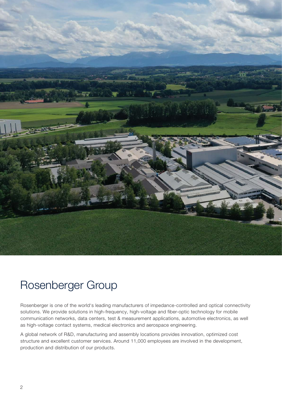

# Rosenberger Group

Rosenberger is one of the world's leading manufacturers of impedance-controlled and optical connectivity solutions. We provide solutions in high-frequency, high-voltage and fiber-optic technology for mobile communication networks, data centers, test & measurement applications, automotive electronics, as well as high-voltage contact systems, medical electronics and aerospace engineering.

A global network of R&D, manufacturing and assembly locations provides innovation, optimized cost structure and excellent customer services. Around 11,000 employees are involved in the development, production and distribution of our products.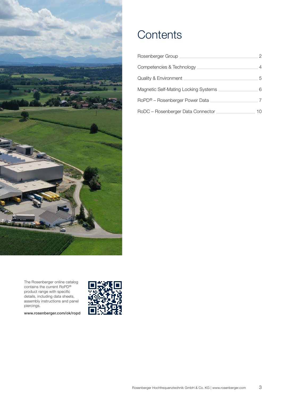

The Rosenberger online catalog contains the current RoPD® product range with specific details, including data sheets, assembly instructions and panel piercings.

www.rosenberger.com/ok/ropd



# **Contents**

| Rosenberger Group                      |       |
|----------------------------------------|-------|
| Competencies & Technology _            | 4     |
| Quality & Environment                  | 5     |
| Magnetic Self-Mating Locking Systems _ | 6     |
| RoPD® – Rosenberger Power Data         |       |
| RoDC - Rosenberger Data Connector      | 1 ( ) |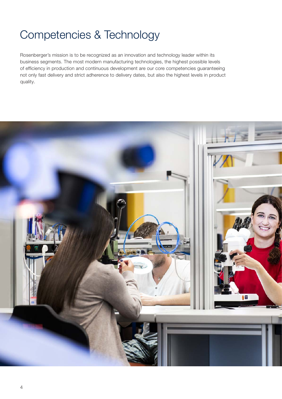# Competencies & Technology

Rosenberger's mission is to be recognized as an innovation and technology leader within its business segments. The most modern manufacturing technologies, the highest possible levels of efficiency in production and continuous development are our core competencies guaranteeing not only fast delivery and strict adherence to delivery dates, but also the highest levels in product quality.

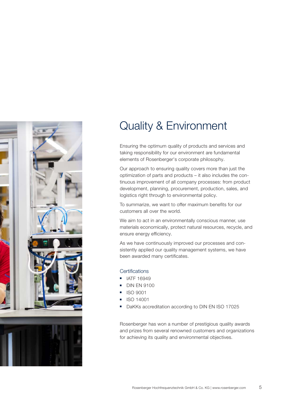

# Quality & Environment

Ensuring the optimum quality of products and services and taking responsibility for our environment are fundamental elements of Rosenberger's corporate philosophy.

Our approach to ensuring quality covers more than just the optimization of parts and products – it also includes the continuous improvement of all company processes: from product development, planning, procurement, production, sales, and logistics right through to environmental policy.

To summarize, we want to offer maximum benefits for our customers all over the world.

We aim to act in an environmentally conscious manner, use materials economically, protect natural resources, recycle, and ensure energy efficiency.

As we have continuously improved our processes and consistently applied our quality management systems, we have been awarded many certificates.

#### **Certifications**

- IATF 16949
- DIN EN 9100
- ISO 9001
- ISO 14001
- DaKKs accreditation according to DIN EN ISO 17025

Rosenberger has won a number of prestigious quality awards and prizes from several renowned customers and organizations for achieving its quality and environmental objectives.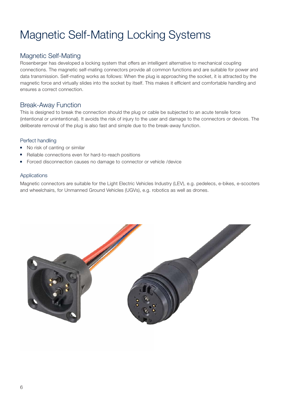# Magnetic Self-Mating Locking Systems

## Magnetic Self-Mating

Rosenberger has developed a locking system that offers an intelligent alternative to mechanical coupling connections. The magnetic self-mating connectors provide all common functions and are suitable for power and data transmission. Self-mating works as follows: When the plug is approaching the socket, it is attracted by the magnetic force and virtually slides into the socket by itself. This makes it efficient and comfortable handling and ensures a correct connection.

## Break-Away Function

This is designed to break the connection should the plug or cable be subjected to an acute tensile force (intentional or unintentional). It avoids the risk of injury to the user and damage to the connectors or devices. The deliberate removal of the plug is also fast and simple due to the break-away function.

### Perfect handling

- No risk of canting or similar
- Reliable connections even for hard-to-reach positions
- Forced disconnection causes no damage to connector or vehicle /device

### Applications

Magnetic connectors are suitable for the Light Electric Vehicles Industry (LEV), e.g. pedelecs, e-bikes, e-scooters and wheelchairs, for Unmanned Ground Vehicles (UGVs), e.g. robotics as well as drones.

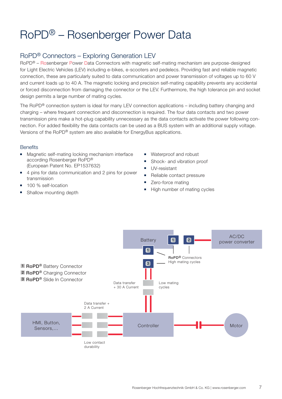# RoPD® – Rosenberger Power Data

# RoPD® Connectors – Exploring Generation LEV

RoPD® – Rosenberger Power Data Connectors with magnetic self-mating mechanism are purpose-designed for Light Electric Vehicles (LEV) including e-bikes, e-scooters and pedelecs. Providing fast and reliable magnetic connection, these are particularly suited to data communication and power transmission of voltages up to 60 V and current loads up to 40 A. The magnetic locking and precision self-mating capability prevents any accidental or forced disconnection from damaging the connector or the LEV. Furthermore, the high tolerance pin and socket design permits a large number of mating cycles.

The RoPD® connection system is ideal for many LEV connection applications – including battery changing and charging – where frequent connection and disconnection is required. The four data contacts and two power transmission pins make a hot-plug capability unnecessary as the data contacts activate the power following connection. For added flexibility the data contacts can be used as a BUS system with an additional supply voltage. Versions of the RoPD® system are also available for EnergyBus applications.

### **Benefits**

- Magnetic self-mating locking mechanism interface according Rosenberger RoPD® (European Patent No. EP1537632)
- 4 pins for data communication and 2 pins for power transmission
- 100 % self-location
- Shallow mounting depth
- Waterproof and robust
- Shock- and vibration proof
- UV-resistant
- Reliable contact pressure
- Zero-force mating
- High number of mating cycles

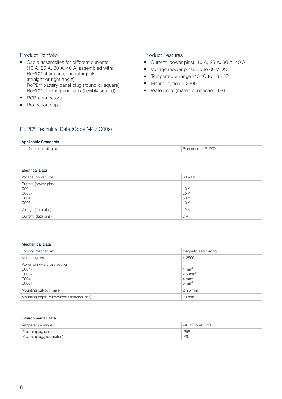## Product Portfolio

- Cable assemblies for different currents (10 A, 25 A, 30 A, 40 A) assembled with: RoPD® charging connector jack (straight or right angle) RoPD® battery panel plug (round or square) RoPD® slide-in panel jack (flexibly seated)
- PCB connectors
- Protection caps

#### Product Features

- Current (power pins): 10 A, 25 A, 30 A, 40 A
- Voltage (power pins): up to 60 V DC
- Temperature range -40 °C to +65 °C
- Mating cycles > 2500
- Waterproof (mated connection) IP67

### RoPD® Technical Data (Code M4 / C00x)

#### Applicable Standards

| Interface according to | Rosenberger RoPD® |
|------------------------|-------------------|
|                        |                   |

#### Electrical Data

| Voltage (power pins) | 60 V DC |
|----------------------|---------|
| Current (power pins) |         |
| C001-                | 10 A    |
| C003-                | 25 A    |
| C004-                | 30 A    |
| C006-                | 40 A    |
| Voltage (data pins)  | 12V     |
| Current (data pins)  | 2A      |

#### Mechanical Data

| Locking mechanism                           | magnetic self-mating  |
|---------------------------------------------|-----------------------|
| Mating cycles                               | > 2500                |
| Power pin wire cross section                |                       |
| C001-                                       | $1 \text{ mm}^2$      |
| C003-                                       | $2.5$ mm <sup>2</sup> |
| C004-                                       | $4 \text{ mm}^2$      |
| C006-                                       | $6 \text{ mm}^2$      |
| Mounting cut-out, male                      | Ø 25 mm               |
| Mounting depth (with/without fastener ring) | $20 \text{ mm}$       |

#### Environmental Data

| Temperature range          | $\vert$ -40 °C to +65 °C |
|----------------------------|--------------------------|
| IP class (plug unmated)    | <b>IP65</b>              |
| IP class (plug/jack mated) | IP <sub>67</sub>         |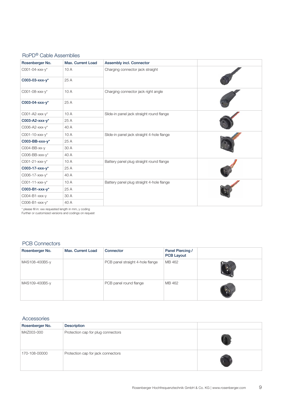## RoPD® Cable Assemblies

| Rosenberger No.         | <b>Max. Current Load</b> | Assembly incl. Connector                   |  |
|-------------------------|--------------------------|--------------------------------------------|--|
| $C001 - 04 - XXX - V^*$ | 10A                      | Charging connector jack straight           |  |
| $C003-03-xxxx-y*$       | 25 A                     |                                            |  |
| $C001 - 08 - XXX - y*$  | 10A                      | Charging connector jack right angle        |  |
| $C003-04-xxxx-y*$       | 25 A                     |                                            |  |
| COO1-A2- $xxx-y^*$      | 10 A                     | Slide-in panel jack straight round flange  |  |
| C003-A2- $xxx-v^*$      | 25 A                     |                                            |  |
| $C006-A2$ -xxx-y*       | 40 A                     |                                            |  |
| $C001 - 10 - XXX - y^*$ | 10 A                     | Slide-in panel jack straight 4-hole flange |  |
| C003-BB- $xxx-y^*$      | 25 A                     |                                            |  |
| $COO4-BB-XX-Y$          | 30 A                     |                                            |  |
| $C006-BB$ -xxx-y*       | 40 A                     |                                            |  |
| $C001 - 21 - XXX - y^*$ | 10 A                     | Battery panel plug straight round flange   |  |
| $C003-17-xxxx-y*$       | 25 A                     |                                            |  |
| $C006 - 17 - XXX - y*$  | 40 A                     |                                            |  |
| $C001 - 11 - XXX - V^*$ | 10 A                     | Battery panel plug straight 4-hole flange  |  |
| C003-B1- $xxx-y^*$      | 25 A                     |                                            |  |
| $COO4-B1-xxx-y$         | 30 A                     |                                            |  |
| $C006-B1-xxxx-y*$       | 40 A                     |                                            |  |
| 10.111111               |                          |                                            |  |

\* please fill in: xxx requested length in mm, y coding

Further or customized versions and codings on request

## PCB Connectors

| Rosenberger No. | Max. Current Load | Connector                        | Panel Piercing /<br><b>PCB Layout</b> |                             |
|-----------------|-------------------|----------------------------------|---------------------------------------|-----------------------------|
| M4S108-400B5-y  |                   | PCB panel straight 4-hole flange | MB 462                                |                             |
| M4S109-400B5-y  |                   | PCB panel round flange           | MB 462                                | $\mathcal{C}_{\mathcal{A}}$ |

#### Accessories

| Rosenberger No. | <b>Description</b>                 |  |
|-----------------|------------------------------------|--|
| M4Z003-000      | Protection cap for plug connectors |  |
| 170-108-00000   | Protection cap for jack connectors |  |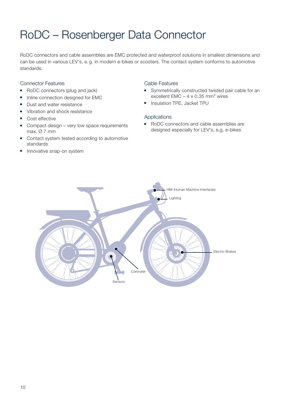# RoDC – Rosenberger Data Connector

RoDC connectors and cable assemblies are EMC protected and waterproof solutions in smallest dimensions and can be used in various LEV's, e. g. in modern e-bikes or scooters. The contact system conforms to automotive standards.

### Connector Features

- RoDC connectors (plug and jack)
- Inline connection designed for EMC
- Dust and water resistance
- Vibration and shock resistance
- Cost effective
- Compact design very low space requirements max. Ø 7 mm
- Contact system tested according to automotive standards
- Innovative snap-on system

#### Cable Features

- Symmetrically constructed twisted pair cable for an excellent EMC –  $4 \times 0.35$  mm<sup>2</sup> wires
- Insulation TPE, Jacket TPU

#### Applications

■ RoDC connectors and cable assemblies are designed especially for LEV's, e.g. e-bikes

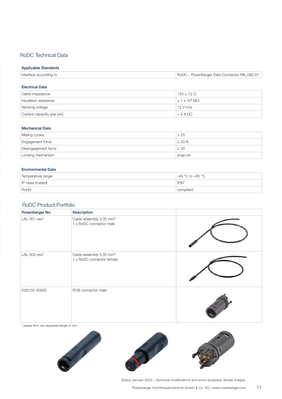### RoDC Technical Data

#### Applicable Standards

| Interface according to | RoDC - Rosenberger Data Connector RN_082-01 |
|------------------------|---------------------------------------------|
|                        |                                             |

#### Electrical Data

| Cable impedance             | $120 + 120$                     |
|-----------------------------|---------------------------------|
| Insulation resistance       | $\geq 1 \times 10^3$ M $\Omega$ |
| Working voltage             | $12 V$ rms                      |
| Current capacitiy (per pin) | $< 2$ A DC                      |

#### Mechanical Data

| Mating cycles       | > 25        |
|---------------------|-------------|
| Engagement force    | $\leq 20 N$ |
| Disengagement force | $\geq 30$   |
| Locking mechanism   | snap-on     |

#### Environmental Data

| Temperature range | $-40$ °C to +65 °C |
|-------------------|--------------------|
| IP class (mated)  | <b>IP67</b>        |
| RoHS              | compliant          |

### RoDC Product Portfolio

| Rosenberger No. | Description                                                      |  |
|-----------------|------------------------------------------------------------------|--|
| $LAL-001-xxxx*$ | Cable assembly 0.35 mm <sup>2</sup><br>1 x RoDC connector male   |  |
| $LAL-002-xxx*$  | Cable assembly 0.35 mm <sup>2</sup><br>1 x RoDC connector female |  |
| E2S102-400X5    | PCB connector male                                               |  |

\* please fill in: xxx requested length in mm







Status January 2020 – Technical modifications and errors excepted. Similar images.